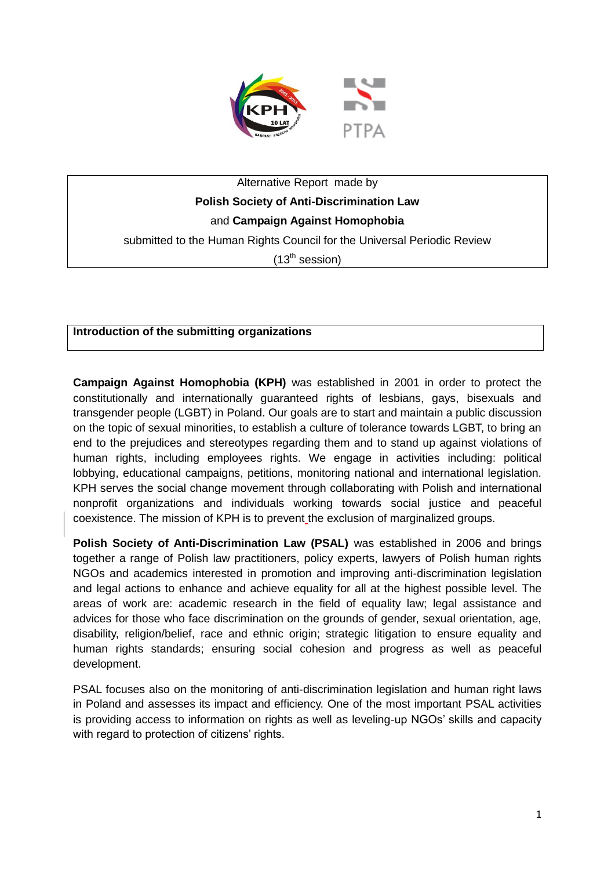

# Alternative Report made by **Polish Society of Anti-Discrimination Law**  and **Campaign Against Homophobia**

submitted to the Human Rights Council for the Universal Periodic Review

 $(13<sup>th</sup>$  session)

# **Introduction of the submitting organizations**

**Campaign Against Homophobia (KPH)** was established in 2001 in order to protect the constitutionally and internationally guaranteed rights of lesbians, gays, bisexuals and transgender people (LGBT) in Poland. Our goals are to start and maintain a public discussion on the topic of sexual minorities, to establish a culture of tolerance towards LGBT, to bring an end to the prejudices and stereotypes regarding them and to stand up against violations of human rights, including employees rights. We engage in activities including: political lobbying, educational campaigns, petitions, monitoring national and international legislation. KPH serves the social change movement through collaborating with Polish and international nonprofit organizations and individuals working towards social justice and peaceful coexistence. The mission of KPH is to prevent the exclusion of marginalized groups.

**Polish Society of Anti-Discrimination Law (PSAL)** was established in 2006 and brings together a range of Polish law practitioners, policy experts, lawyers of Polish human rights NGOs and academics interested in promotion and improving anti-discrimination legislation and legal actions to enhance and achieve equality for all at the highest possible level. The areas of work are: academic research in the field of equality law; legal assistance and advices for those who face discrimination on the grounds of gender, sexual orientation, age, disability, religion/belief, race and ethnic origin; strategic litigation to ensure equality and human rights standards; ensuring social cohesion and progress as well as peaceful development.

PSAL focuses also on the monitoring of anti-discrimination legislation and human right laws in Poland and assesses its impact and efficiency. One of the most important PSAL activities is providing access to information on rights as well as leveling-up NGOs' skills and capacity with regard to protection of citizens' rights.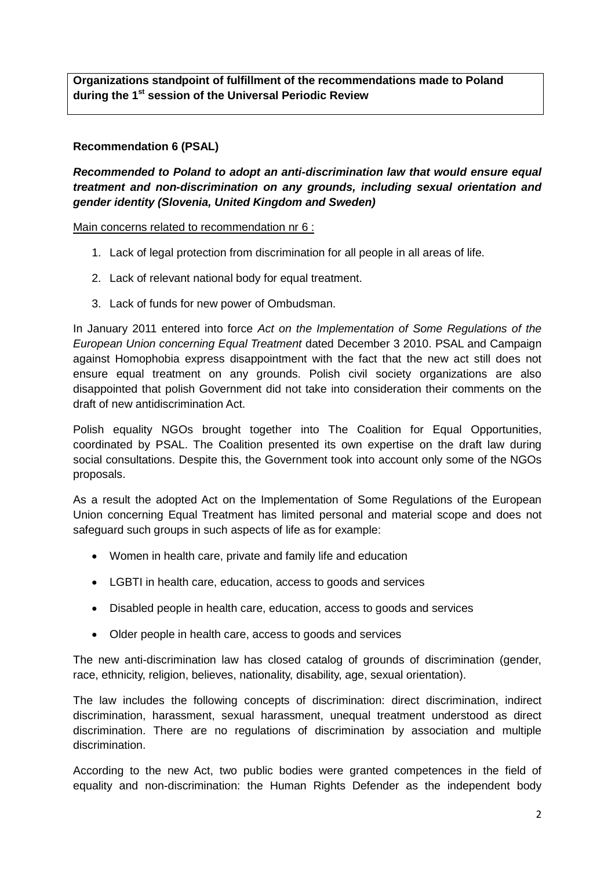**Organizations standpoint of fulfillment of the recommendations made to Poland during the 1st session of the Universal Periodic Review**

## **Recommendation 6 (PSAL)**

*Recommended to Poland to adopt an anti-discrimination law that would ensure equal treatment and non-discrimination on any grounds, including sexual orientation and gender identity (Slovenia, United Kingdom and Sweden)*

Main concerns related to recommendation nr 6 :

- 1. Lack of legal protection from discrimination for all people in all areas of life.
- 2. Lack of relevant national body for equal treatment.
- 3. Lack of funds for new power of Ombudsman.

In January 2011 entered into force *Act on the Implementation of Some Regulations of the European Union concerning Equal Treatment* dated December 3 2010. PSAL and Campaign against Homophobia express disappointment with the fact that the new act still does not ensure equal treatment on any grounds. Polish civil society organizations are also disappointed that polish Government did not take into consideration their comments on the draft of new antidiscrimination Act.

Polish equality NGOs brought together into The Coalition for Equal Opportunities, coordinated by PSAL. The Coalition presented its own expertise on the draft law during social consultations. Despite this, the Government took into account only some of the NGOs proposals.

As a result the adopted Act on the Implementation of Some Regulations of the European Union concerning Equal Treatment has limited personal and material scope and does not safeguard such groups in such aspects of life as for example:

- Women in health care, private and family life and education
- LGBTI in health care, education, access to goods and services
- Disabled people in health care, education, access to goods and services
- Older people in health care, access to goods and services

The new anti-discrimination law has closed catalog of grounds of discrimination (gender, race, ethnicity, religion, believes, nationality, disability, age, sexual orientation).

The law includes the following concepts of discrimination: direct discrimination, indirect discrimination, harassment, sexual harassment, unequal treatment understood as direct discrimination. There are no regulations of discrimination by association and multiple discrimination.

According to the new Act, two public bodies were granted competences in the field of equality and non-discrimination: the Human Rights Defender as the independent body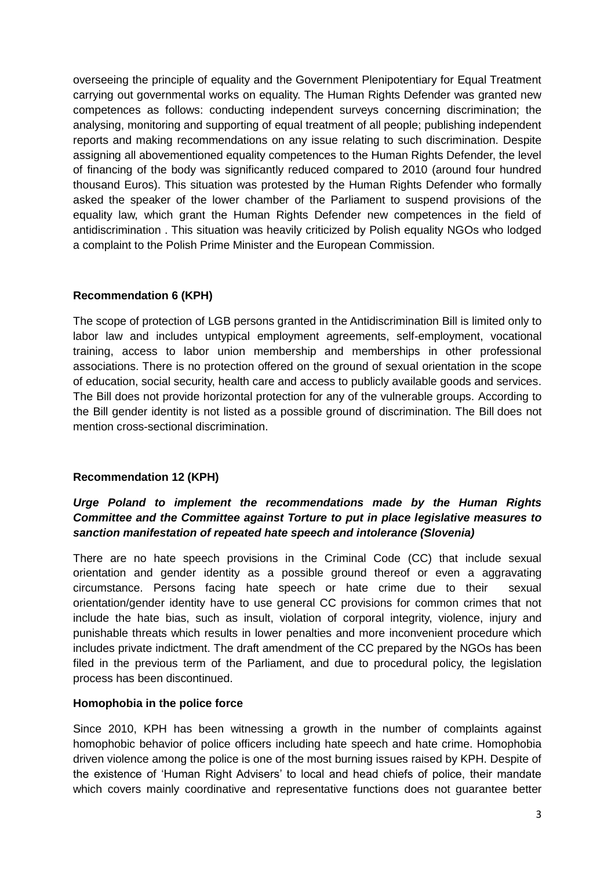overseeing the principle of equality and the Government Plenipotentiary for Equal Treatment carrying out governmental works on equality. The Human Rights Defender was granted new competences as follows: conducting independent surveys concerning discrimination; the analysing, monitoring and supporting of equal treatment of all people; publishing independent reports and making recommendations on any issue relating to such discrimination. Despite assigning all abovementioned equality competences to the Human Rights Defender, the level of financing of the body was significantly reduced compared to 2010 (around four hundred thousand Euros). This situation was protested by the Human Rights Defender who formally asked the speaker of the lower chamber of the Parliament to suspend provisions of the equality law, which grant the Human Rights Defender new competences in the field of antidiscrimination . This situation was heavily criticized by Polish equality NGOs who lodged a complaint to the Polish Prime Minister and the European Commission.

# **Recommendation 6 (KPH)**

The scope of protection of LGB persons granted in the Antidiscrimination Bill is limited only to labor law and includes untypical employment agreements, self-employment, vocational training, access to labor union membership and memberships in other professional associations. There is no protection offered on the ground of sexual orientation in the scope of education, social security, health care and access to publicly available goods and services. The Bill does not provide horizontal protection for any of the vulnerable groups. According to the Bill gender identity is not listed as a possible ground of discrimination. The Bill does not mention cross-sectional discrimination.

## **Recommendation 12 (KPH)**

# *Urge Poland to implement the recommendations made by the Human Rights Committee and the Committee against Torture to put in place legislative measures to sanction manifestation of repeated hate speech and intolerance (Slovenia)*

There are no hate speech provisions in the Criminal Code (CC) that include sexual orientation and gender identity as a possible ground thereof or even a aggravating circumstance. Persons facing hate speech or hate crime due to their sexual orientation/gender identity have to use general CC provisions for common crimes that not include the hate bias, such as insult, violation of corporal integrity, violence, injury and punishable threats which results in lower penalties and more inconvenient procedure which includes private indictment. The draft amendment of the CC prepared by the NGOs has been filed in the previous term of the Parliament, and due to procedural policy, the legislation process has been discontinued.

## **Homophobia in the police force**

Since 2010, KPH has been witnessing a growth in the number of complaints against homophobic behavior of police officers including hate speech and hate crime. Homophobia driven violence among the police is one of the most burning issues raised by KPH. Despite of the existence of 'Human Right Advisers' to local and head chiefs of police, their mandate which covers mainly coordinative and representative functions does not guarantee better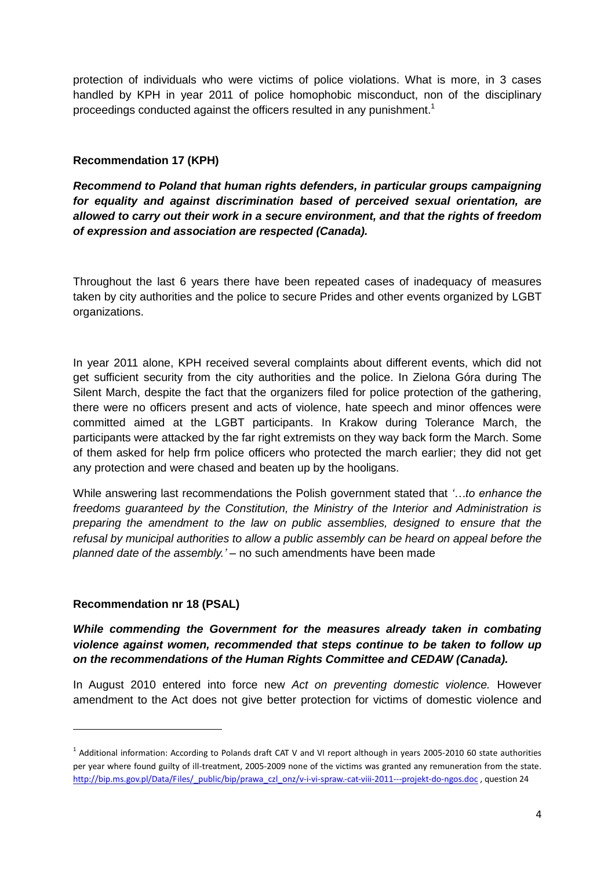protection of individuals who were victims of police violations. What is more, in 3 cases handled by KPH in year 2011 of police homophobic misconduct, non of the disciplinary proceedings conducted against the officers resulted in any punishment.<sup>1</sup>

## **Recommendation 17 (KPH)**

*Recommend to Poland that human rights defenders, in particular groups campaigning for equality and against discrimination based of perceived sexual orientation, are allowed to carry out their work in a secure environment, and that the rights of freedom of expression and association are respected (Canada).*

Throughout the last 6 years there have been repeated cases of inadequacy of measures taken by city authorities and the police to secure Prides and other events organized by LGBT organizations.

In year 2011 alone, KPH received several complaints about different events, which did not get sufficient security from the city authorities and the police. In Zielona Góra during The Silent March, despite the fact that the organizers filed for police protection of the gathering, there were no officers present and acts of violence, hate speech and minor offences were committed aimed at the LGBT participants. In Krakow during Tolerance March, the participants were attacked by the far right extremists on they way back form the March. Some of them asked for help frm police officers who protected the march earlier; they did not get any protection and were chased and beaten up by the hooligans.

While answering last recommendations the Polish government stated that *'…to enhance the freedoms guaranteed by the Constitution, the Ministry of the Interior and Administration is preparing the amendment to the law on public assemblies, designed to ensure that the refusal by municipal authorities to allow a public assembly can be heard on appeal before the planned date of the assembly.'* – no such amendments have been made

# **Recommendation nr 18 (PSAL)**

**.** 

*While commending the Government for the measures already taken in combating violence against women, recommended that steps continue to be taken to follow up on the recommendations of the Human Rights Committee and CEDAW (Canada).*

In August 2010 entered into force new *Act on preventing domestic violence.* However amendment to the Act does not give better protection for victims of domestic violence and

 $^1$  Additional information: According to Polands draft CAT V and VI report although in years 2005-2010 60 state authorities per year where found guilty of ill-treatment, 2005-2009 none of the victims was granted any remuneration from the state. [http://bip.ms.gov.pl/Data/Files/\\_public/bip/prawa\\_czl\\_onz/v-i-vi-spraw.-cat-viii-2011---projekt-do-ngos.doc](http://bip.ms.gov.pl/Data/Files/_public/bip/prawa_czl_onz/v-i-vi-spraw.-cat-viii-2011---projekt-do-ngos.doc) , question 24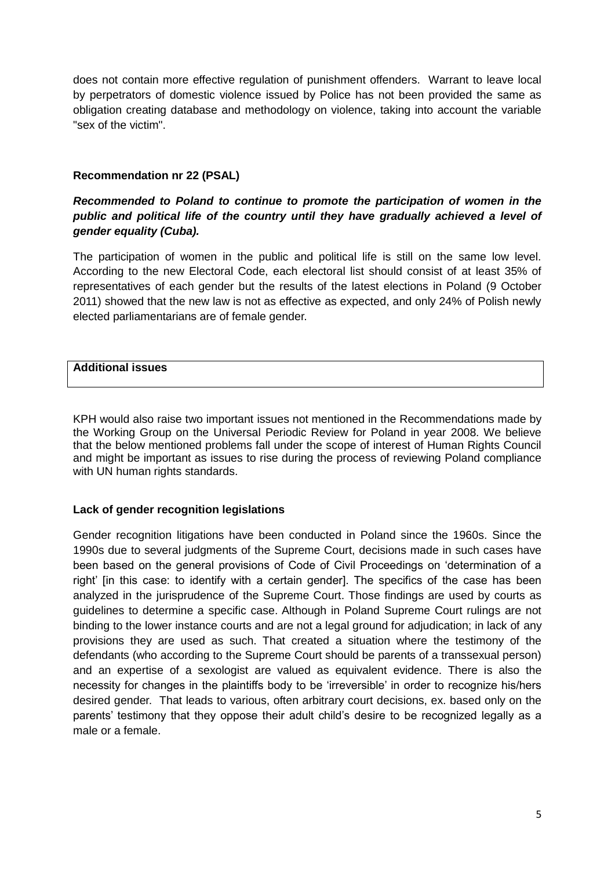does not contain more effective regulation of punishment offenders. Warrant to leave local by perpetrators of domestic violence issued by Police has not been provided the same as obligation creating database and methodology on violence, taking into account the variable "sex of the victim".

# **Recommendation nr 22 (PSAL)**

# *Recommended to Poland to continue to promote the participation of women in the public and political life of the country until they have gradually achieved a level of gender equality (Cuba).*

The participation of women in the public and political life is still on the same low level. According to the new Electoral Code, each electoral list should consist of at least 35% of representatives of each gender but the results of the latest elections in Poland (9 October 2011) showed that the new law is not as effective as expected, and only 24% of Polish newly elected parliamentarians are of female gender.

## **Additional issues**

KPH would also raise two important issues not mentioned in the Recommendations made by the Working Group on the Universal Periodic Review for Poland in year 2008. We believe that the below mentioned problems fall under the scope of interest of Human Rights Council and might be important as issues to rise during the process of reviewing Poland compliance with UN human rights standards.

## **Lack of gender recognition legislations**

Gender recognition litigations have been conducted in Poland since the 1960s. Since the 1990s due to several judgments of the Supreme Court, decisions made in such cases have been based on the general provisions of Code of Civil Proceedings on 'determination of a right' [in this case: to identify with a certain gender]. The specifics of the case has been analyzed in the jurisprudence of the Supreme Court. Those findings are used by courts as guidelines to determine a specific case. Although in Poland Supreme Court rulings are not binding to the lower instance courts and are not a legal ground for adjudication; in lack of any provisions they are used as such. That created a situation where the testimony of the defendants (who according to the Supreme Court should be parents of a transsexual person) and an expertise of a sexologist are valued as equivalent evidence. There is also the necessity for changes in the plaintiffs body to be 'irreversible' in order to recognize his/hers desired gender. That leads to various, often arbitrary court decisions, ex. based only on the parents' testimony that they oppose their adult child's desire to be recognized legally as a male or a female.